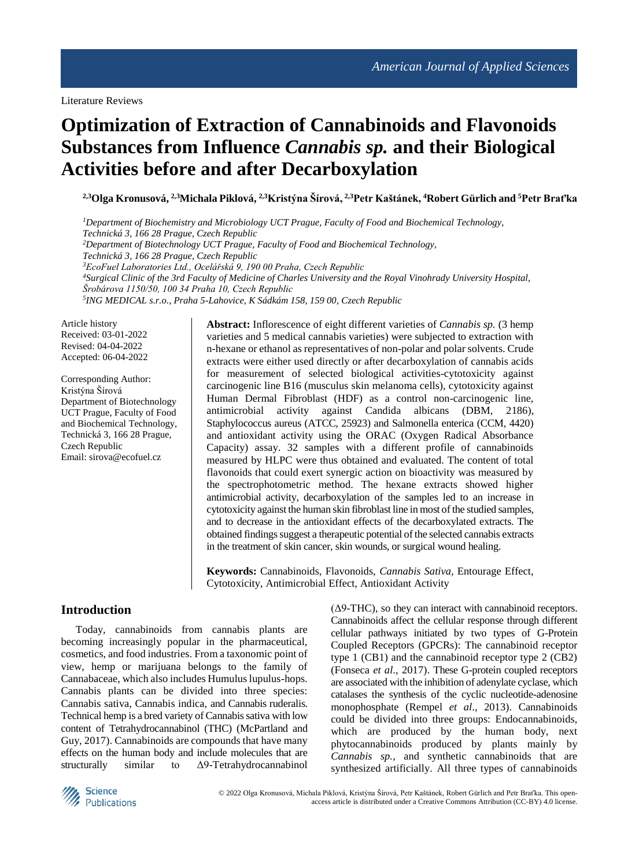# **Optimization of Extraction of Cannabinoids and Flavonoids Substances from Influence** *Cannabis sp.* **and their Biological Activities before and after Decarboxylation**

**2,3Olga Kronusová, 2,3Michala Piklová, 2,3Kristýna Šírová, 2,3Petr Kaštánek, <sup>4</sup>Robert Gürlich and <sup>5</sup>Petr Braťka**

*Department of Biochemistry and Microbiology UCT Prague, Faculty of Food and Biochemical Technology, Technická 3, 166 28 Prague, Czech Republic Department of Biotechnology UCT Prague, Faculty of Food and Biochemical Technology, Technická 3, 166 28 Prague, Czech Republic EcoFuel Laboratories Ltd., Ocelářská 9, 190 00 Praha, Czech Republic Surgical Clinic of the 3rd Faculty of Medicine of Charles University and the Royal Vinohrady University Hospital, Šrobárova 1150/50, 100 34 Praha 10, Czech Republic ING MEDICAL s.r.o., Praha 5-Lahovice, K Sádkám 158, 159 00, Czech Republic*

Article history Received: 03-01-2022 Revised: 04-04-2022 Accepted: 06-04-2022

Corresponding Author: Kristýna Šírová Department of Biotechnology UCT Prague, Faculty of Food and Biochemical Technology, Technická 3, 166 28 Prague, Czech Republic Email: sirova@ecofuel.cz

**Abstract:** Inflorescence of eight different varieties of *Cannabis sp.* (3 hemp varieties and 5 medical cannabis varieties) were subjected to extraction with n-hexane or ethanol as representatives of non-polar and polar solvents. Crude extracts were either used directly or after decarboxylation of cannabis acids for measurement of selected biological activities-cytotoxicity against carcinogenic line B16 (musculus skin melanoma cells), cytotoxicity against Human Dermal Fibroblast (HDF) as a control non-carcinogenic line, antimicrobial activity against Candida albicans (DBM, 2186), Staphylococcus aureus (ATCC, 25923) and Salmonella enterica (CCM, 4420) and antioxidant activity using the ORAC (Oxygen Radical Absorbance Capacity) assay. 32 samples with a different profile of cannabinoids measured by HLPC were thus obtained and evaluated. The content of total flavonoids that could exert synergic action on bioactivity was measured by the spectrophotometric method. The hexane extracts showed higher antimicrobial activity, decarboxylation of the samples led to an increase in cytotoxicity against the human skin fibroblast line in most of the studied samples, and to decrease in the antioxidant effects of the decarboxylated extracts. The obtained findings suggest a therapeutic potential of the selected cannabis extracts in the treatment of skin cancer, skin wounds, or surgical wound healing.

**Keywords:** Cannabinoids, Flavonoids, *Cannabis Sativa,* Entourage Effect, Cytotoxicity, Antimicrobial Effect, Antioxidant Activity

## **Introduction**

Today, cannabinoids from cannabis plants are becoming increasingly popular in the pharmaceutical, cosmetics, and food industries. From a taxonomic point of view, hemp or marijuana belongs to the family of Cannabaceae, which also includes Humulus lupulus-hops. Cannabis plants can be divided into three species: Cannabis sativa, Cannabis indica, and Cannabis ruderalis. Technical hemp is a bred variety of Cannabis sativa with low content of Tetrahydrocannabinol (THC) (McPartland and Guy, 2017). Cannabinoids are compounds that have many effects on the human body and include molecules that are structurally similar to Δ9-Tetrahydrocannabinol

 $(\Delta 9-THC)$ , so they can interact with cannabinoid receptors. Cannabinoids affect the cellular response through different cellular pathways initiated by two types of G-Protein Coupled Receptors (GPCRs): The cannabinoid receptor type 1 (CB1) and the cannabinoid receptor type 2 (CB2) (Fonseca *et al*., 2017). These G-protein coupled receptors are associated with the inhibition of adenylate cyclase, which catalases the synthesis of the cyclic nucleotide-adenosine monophosphate (Rempel *et al*., 2013). Cannabinoids could be divided into three groups: Endocannabinoids, which are produced by the human body, next phytocannabinoids produced by plants mainly by *Cannabis sp.*, and synthetic cannabinoids that are synthesized artificially. All three types of cannabinoids

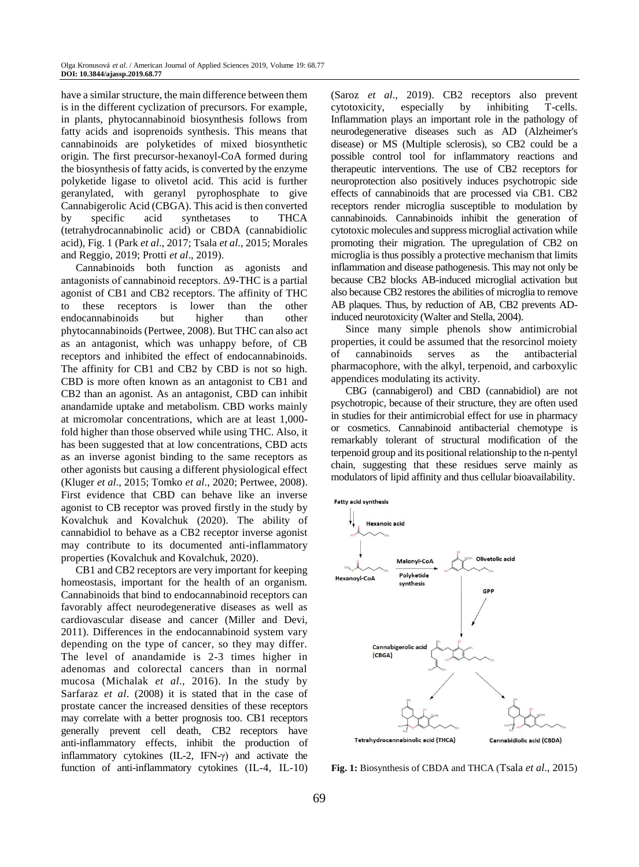have a similar structure, the main difference between them is in the different cyclization of precursors. For example, in plants, phytocannabinoid biosynthesis follows from fatty acids and isoprenoids synthesis. This means that cannabinoids are polyketides of mixed biosynthetic origin. The first precursor-hexanoyl-CoA formed during the biosynthesis of fatty acids, is converted by the enzyme polyketide ligase to olivetol acid. This acid is further geranylated, with geranyl pyrophosphate to give Cannabigerolic Acid (CBGA). This acid is then converted by specific acid synthetases to THCA (tetrahydrocannabinolic acid) or CBDA (cannabidiolic acid), Fig. 1 (Park *et al*., 2017; Tsala *et al*., 2015; Morales and Reggio, 2019; Protti *et al*., 2019).

Cannabinoids both function as agonists and antagonists of cannabinoid receptors. Δ9-THC is a partial agonist of CB1 and CB2 receptors. The affinity of THC to these receptors is lower than the other endocannabinoids but higher than other phytocannabinoids (Pertwee, 2008). But THC can also act as an antagonist, which was unhappy before, of CB receptors and inhibited the effect of endocannabinoids. The affinity for CB1 and CB2 by CBD is not so high. CBD is more often known as an antagonist to CB1 and CB2 than an agonist. As an antagonist, CBD can inhibit anandamide uptake and metabolism. CBD works mainly at micromolar concentrations, which are at least 1,000 fold higher than those observed while using THC. Also, it has been suggested that at low concentrations, CBD acts as an inverse agonist binding to the same receptors as other agonists but causing a different physiological effect (Kluger *et al*., 2015; Tomko *et al*., 2020; Pertwee, 2008). First evidence that CBD can behave like an inverse agonist to CB receptor was proved firstly in the study by Kovalchuk and Kovalchuk (2020). The ability of cannabidiol to behave as a CB2 receptor inverse agonist may contribute to its documented anti-inflammatory properties (Kovalchuk and Kovalchuk, 2020).

CB1 and CB2 receptors are very important for keeping homeostasis, important for the health of an organism. Cannabinoids that bind to endocannabinoid receptors can favorably affect neurodegenerative diseases as well as cardiovascular disease and cancer (Miller and Devi, 2011). Differences in the endocannabinoid system vary depending on the type of cancer, so they may differ. The level of anandamide is 2-3 times higher in adenomas and colorectal cancers than in normal mucosa (Michalak *et al*., 2016). In the study by Sarfaraz *et al*. (2008) it is stated that in the case of prostate cancer the increased densities of these receptors may correlate with a better prognosis too. CB1 receptors generally prevent cell death, CB2 receptors have anti-inflammatory effects, inhibit the production of inflammatory cytokines (IL-2, IFN-γ) and activate the function of anti-inflammatory cytokines (IL-4, IL-10) (Saroz *et al*., 2019). CB2 receptors also prevent cytotoxicity, especially by inhibiting T-cells. Inflammation plays an important role in the pathology of neurodegenerative diseases such as AD (Alzheimer's disease) or MS (Multiple sclerosis), so CB2 could be a possible control tool for inflammatory reactions and therapeutic interventions. The use of CB2 receptors for neuroprotection also positively induces psychotropic side effects of cannabinoids that are processed via CB1. CB2 receptors render microglia susceptible to modulation by cannabinoids. Cannabinoids inhibit the generation of cytotoxic molecules and suppress microglial activation while promoting their migration. The upregulation of CB2 on microglia is thus possibly a protective mechanism that limits inflammation and disease pathogenesis. This may not only be because CB2 blocks AB-induced microglial activation but also because CB2 restores the abilities of microglia to remove AB plaques. Thus, by reduction of AB, CB2 prevents ADinduced neurotoxicity (Walter and Stella, 2004).

Since many simple phenols show antimicrobial properties, it could be assumed that the resorcinol moiety of cannabinoids serves as the antibacterial pharmacophore, with the alkyl, terpenoid, and carboxylic appendices modulating its activity.

CBG (cannabigerol) and CBD (cannabidiol) are not psychotropic, because of their structure, they are often used in studies for their antimicrobial effect for use in pharmacy or cosmetics. Cannabinoid antibacterial chemotype is remarkably tolerant of structural modification of the terpenoid group and its positional relationship to the n-pentyl chain, suggesting that these residues serve mainly as modulators of lipid affinity and thus cellular bioavailability.



**Fig. 1:** Biosynthesis of CBDA and THCA (Tsala *et al*., 2015)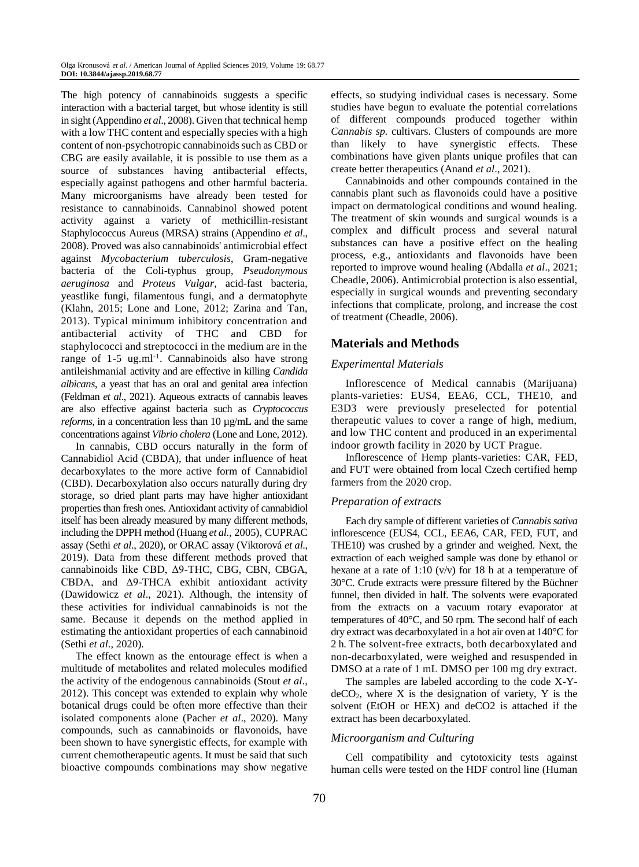The high potency of cannabinoids suggests a specific interaction with a bacterial target, but whose identity is still in sight (Appendino *et al*., 2008). Given that technical hemp with a low THC content and especially species with a high content of non-psychotropic cannabinoids such as CBD or CBG are easily available, it is possible to use them as a source of substances having antibacterial effects, especially against pathogens and other harmful bacteria. Many microorganisms have already been tested for resistance to cannabinoids. Cannabinol showed potent activity against a variety of methicillin-resistant Staphylococcus Aureus (MRSA) strains (Appendino *et al*., 2008). Proved was also cannabinoids' antimicrobial effect against *Mycobacterium tuberculosis*, Gram-negative bacteria of the Coli-typhus group, *Pseudonymous aeruginosa* and *Proteus Vulgar*, acid-fast bacteria, yeastlike fungi, filamentous fungi, and a dermatophyte (Klahn, 2015; Lone and Lone, 2012; Zarina and Tan, 2013). Typical minimum inhibitory concentration and antibacterial activity of THC and CBD for staphylococci and streptococci in the medium are in the range of 1-5 ug.ml<sup>-1</sup>. Cannabinoids also have strong antileishmanial activity and are effective in killing *Candida albicans*, a yeast that has an oral and genital area infection (Feldman *et al*., 2021). Aqueous extracts of cannabis leaves are also effective against bacteria such as *Cryptococcus reforms*, in a concentration less than 10  $\mu$ g/mL and the same concentrations against *Vibrio cholera* (Lone and Lone, 2012).

In cannabis, CBD occurs naturally in the form of Cannabidiol Acid (CBDA), that under influence of heat decarboxylates to the more active form of Cannabidiol (CBD). Decarboxylation also occurs naturally during dry storage, so dried plant parts may have higher antioxidant properties than fresh ones. Antioxidant activity of cannabidiol itself has been already measured by many different methods, including the DPPH method (Huang *et al*., 2005), CUPRAC assay (Sethi *et al*., 2020), or ORAC assay (Viktorová *et al*., 2019). Data from these different methods proved that cannabinoids like CBD, Δ9-THC, CBG, CBN, CBGA, CBDA, and Δ9-THCA exhibit antioxidant activity (Dawidowicz *et al*., 2021). Although, the intensity of these activities for individual cannabinoids is not the same. Because it depends on the method applied in estimating the antioxidant properties of each cannabinoid (Sethi *et al*., 2020).

The effect known as the entourage effect is when a multitude of metabolites and related molecules modified the activity of the endogenous cannabinoids (Stout *et al*., 2012). This concept was extended to explain why whole botanical drugs could be often more effective than their isolated components alone (Pacher *et al*., 2020). Many compounds, such as cannabinoids or flavonoids, have been shown to have synergistic effects, for example with current chemotherapeutic agents. It must be said that such bioactive compounds combinations may show negative effects, so studying individual cases is necessary. Some studies have begun to evaluate the potential correlations of different compounds produced together within *Cannabis sp.* cultivars. Clusters of compounds are more than likely to have synergistic effects. These combinations have given plants unique profiles that can create better therapeutics (Anand *et al*., 2021).

Cannabinoids and other compounds contained in the cannabis plant such as flavonoids could have a positive impact on dermatological conditions and wound healing. The treatment of skin wounds and surgical wounds is a complex and difficult process and several natural substances can have a positive effect on the healing process, e.g., antioxidants and flavonoids have been reported to improve wound healing (Abdalla *et al*., 2021; Cheadle, 2006). Antimicrobial protection is also essential, especially in surgical wounds and preventing secondary infections that complicate, prolong, and increase the cost of treatment (Cheadle, 2006).

# **Materials and Methods**

#### *Experimental Materials*

Inflorescence of Medical cannabis (Marijuana) plants-varieties: EUS4, EEA6, CCL, THE10, and E3D3 were previously preselected for potential therapeutic values to cover a range of high, medium, and low THC content and produced in an experimental indoor growth facility in 2020 by UCT Prague.

Inflorescence of Hemp plants-varieties: CAR, FED, and FUT were obtained from local Czech certified hemp farmers from the 2020 crop.

#### *Preparation of extracts*

Each dry sample of different varieties of *Cannabis sativa* inflorescence (EUS4, CCL, EEA6, CAR, FED, FUT, and THE10) was crushed by a grinder and weighed. Next, the extraction of each weighed sample was done by ethanol or hexane at a rate of 1:10 (v/v) for 18 h at a temperature of 30°C. Crude extracts were pressure filtered by the Büchner funnel, then divided in half. The solvents were evaporated from the extracts on a vacuum rotary evaporator at temperatures of 40°C, and 50 rpm. The second half of each dry extract was decarboxylated in a hot air oven at 140°C for 2 h. The solvent-free extracts, both decarboxylated and non-decarboxylated, were weighed and resuspended in DMSO at a rate of 1 mL DMSO per 100 mg dry extract.

The samples are labeled according to the code X-Y $deCO<sub>2</sub>$ , where X is the designation of variety, Y is the solvent (EtOH or HEX) and deCO2 is attached if the extract has been decarboxylated.

#### *Microorganism and Culturing*

Cell compatibility and cytotoxicity tests against human cells were tested on the HDF control line (Human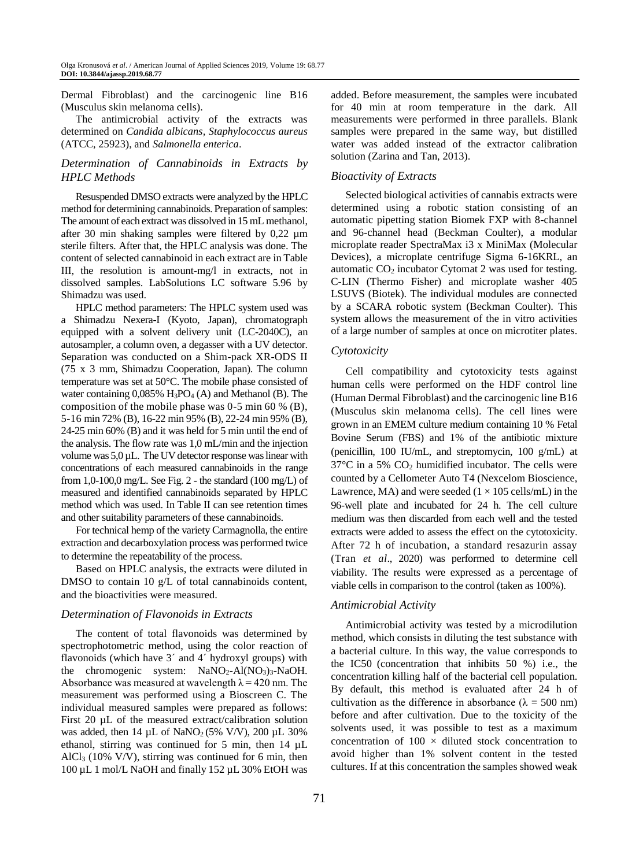Dermal Fibroblast) and the carcinogenic line B16 (Musculus skin melanoma cells).

The antimicrobial activity of the extracts was determined on *Candida albicans, Staphylococcus aureus* (ATCC, 25923), and *Salmonella enterica*.

#### *Determination of Cannabinoids in Extracts by HPLC Methods*

Resuspended DMSO extracts were analyzed by the HPLC method for determining cannabinoids. Preparation of samples: The amount of each extract was dissolved in 15 mL methanol, after 30 min shaking samples were filtered by 0,22 µm sterile filters. After that, the HPLC analysis was done. The content of selected cannabinoid in each extract are in Table III, the resolution is amount-mg/l in extracts, not in dissolved samples. LabSolutions LC software 5.96 by Shimadzu was used.

HPLC method parameters: The HPLC system used was a Shimadzu Nexera-I (Kyoto, Japan), chromatograph equipped with a solvent delivery unit (LC-2040C), an autosampler, a column oven, a degasser with a UV detector. Separation was conducted on a Shim-pack XR-ODS II (75 x 3 mm, Shimadzu Cooperation, Japan). The column temperature was set at 50°C. The mobile phase consisted of water containing  $0,085\%$  H<sub>3</sub>PO<sub>4</sub> (A) and Methanol (B). The composition of the mobile phase was 0-5 min 60 % (B), 5-16 min 72% (B), 16-22 min 95% (B), 22-24 min 95% (B), 24-25 min 60% (B) and it was held for 5 min until the end of the analysis. The flow rate was 1,0 mL/min and the injection volume was 5,0 µL. The UV detector response was linear with concentrations of each measured cannabinoids in the range from 1,0-100,0 mg/L. See Fig. 2 - the standard (100 mg/L) of measured and identified cannabinoids separated by HPLC method which was used. In Table II can see retention times and other suitability parameters of these cannabinoids.

For technical hemp of the variety Carmagnolla, the entire extraction and decarboxylation process was performed twice to determine the repeatability of the process.

Based on HPLC analysis, the extracts were diluted in DMSO to contain 10 g/L of total cannabinoids content, and the bioactivities were measured.

#### *Determination of Flavonoids in Extracts*

The content of total flavonoids was determined by spectrophotometric method, using the color reaction of flavonoids (which have 3´ and 4´ hydroxyl groups) with the chromogenic system:  $NaNO<sub>2</sub>-Al(NO<sub>3</sub>)<sub>3</sub>-NaOH.$ Absorbance was measured at wavelength  $\lambda = 420$  nm. The measurement was performed using a Bioscreen C. The individual measured samples were prepared as follows: First 20 µL of the measured extract/calibration solution was added, then 14  $\mu$ L of NaNO<sub>2</sub> (5% V/V), 200  $\mu$ L 30% ethanol, stirring was continued for 5 min, then 14 µL AlCl<sub>3</sub> (10% V/V), stirring was continued for 6 min, then 100 µL 1 mol/L NaOH and finally 152 µL 30% EtOH was

added. Before measurement, the samples were incubated for 40 min at room temperature in the dark. All measurements were performed in three parallels. Blank samples were prepared in the same way, but distilled water was added instead of the extractor calibration solution (Zarina and Tan, 2013).

#### *Bioactivity of Extracts*

Selected biological activities of cannabis extracts were determined using a robotic station consisting of an automatic pipetting station Biomek FXP with 8-channel and 96-channel head (Beckman Coulter), a modular microplate reader SpectraMax i3 x MiniMax (Molecular Devices), a microplate centrifuge Sigma 6-16KRL, an automatic  $CO<sub>2</sub>$  incubator Cytomat 2 was used for testing. C-LIN (Thermo Fisher) and microplate washer 405 LSUVS (Biotek). The individual modules are connected by a SCARA robotic system (Beckman Coulter). This system allows the measurement of the in vitro activities of a large number of samples at once on microtiter plates.

#### *Cytotoxicity*

Cell compatibility and cytotoxicity tests against human cells were performed on the HDF control line (Human Dermal Fibroblast) and the carcinogenic line B16 (Musculus skin melanoma cells). The cell lines were grown in an EMEM culture medium containing 10 % Fetal Bovine Serum (FBS) and 1% of the antibiotic mixture (penicillin, 100 IU/mL, and streptomycin, 100 g/mL) at  $37^{\circ}$ C in a 5% CO<sub>2</sub> humidified incubator. The cells were counted by a Cellometer Auto T4 (Nexcelom Bioscience, Lawrence, MA) and were seeded  $(1 \times 105 \text{ cells/mL})$  in the 96-well plate and incubated for 24 h. The cell culture medium was then discarded from each well and the tested extracts were added to assess the effect on the cytotoxicity. After 72 h of incubation, a standard resazurin assay (Tran *et al*., 2020) was performed to determine cell viability. The results were expressed as a percentage of viable cells in comparison to the control (taken as 100%).

#### *Antimicrobial Activity*

Antimicrobial activity was tested by a microdilution method, which consists in diluting the test substance with a bacterial culture. In this way, the value corresponds to the IC50 (concentration that inhibits 50 %) i.e., the concentration killing half of the bacterial cell population. By default, this method is evaluated after 24 h of cultivation as the difference in absorbance ( $\lambda = 500$  nm) before and after cultivation. Due to the toxicity of the solvents used, it was possible to test as a maximum concentration of  $100 \times$  diluted stock concentration to avoid higher than 1% solvent content in the tested cultures. If at this concentration the samples showed weak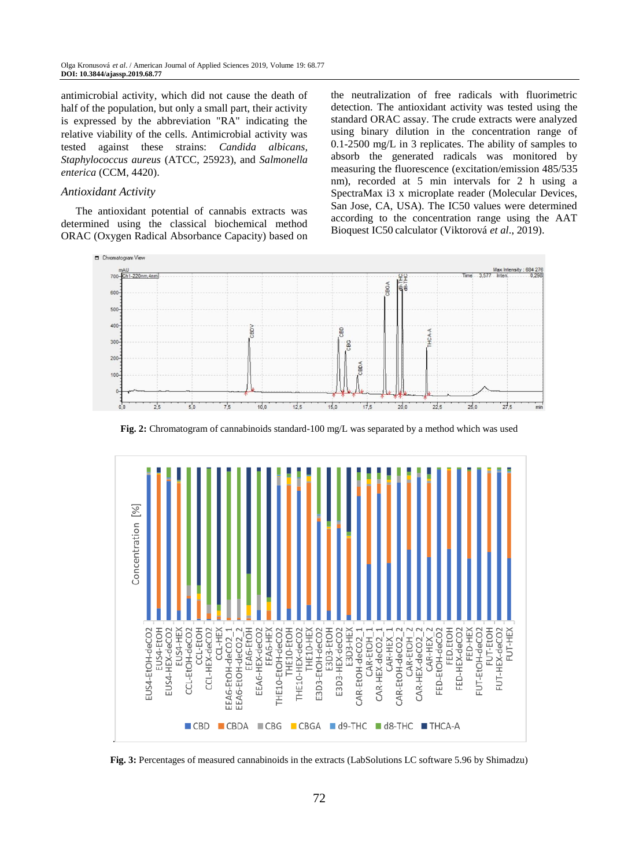antimicrobial activity, which did not cause the death of half of the population, but only a small part, their activity is expressed by the abbreviation "RA" indicating the relative viability of the cells. Antimicrobial activity was tested against these strains: *Candida albicans, Staphylococcus aureus* (ATCC, 25923), and *Salmonella enterica* (CCM, 4420).

#### *Antioxidant Activity*

The antioxidant potential of cannabis extracts was determined using the classical biochemical method ORAC (Oxygen Radical Absorbance Capacity) based on the neutralization of free radicals with fluorimetric detection. The antioxidant activity was tested using the standard ORAC assay. The crude extracts were analyzed using binary dilution in the concentration range of 0.1-2500 mg/L in 3 replicates. The ability of samples to absorb the generated radicals was monitored by measuring the fluorescence (excitation/emission 485/535 nm), recorded at 5 min intervals for 2 h using a SpectraMax i3 x microplate reader (Molecular Devices, San Jose, CA, USA). The IC50 values were determined according to the concentration range using the AAT Bioquest IC50 calculator (Viktorová *et al*., 2019).



**Fig. 2:** Chromatogram of cannabinoids standard-100 mg/L was separated by a method which was used



**Fig. 3:** Percentages of measured cannabinoids in the extracts (LabSolutions LC software 5.96 by Shimadzu)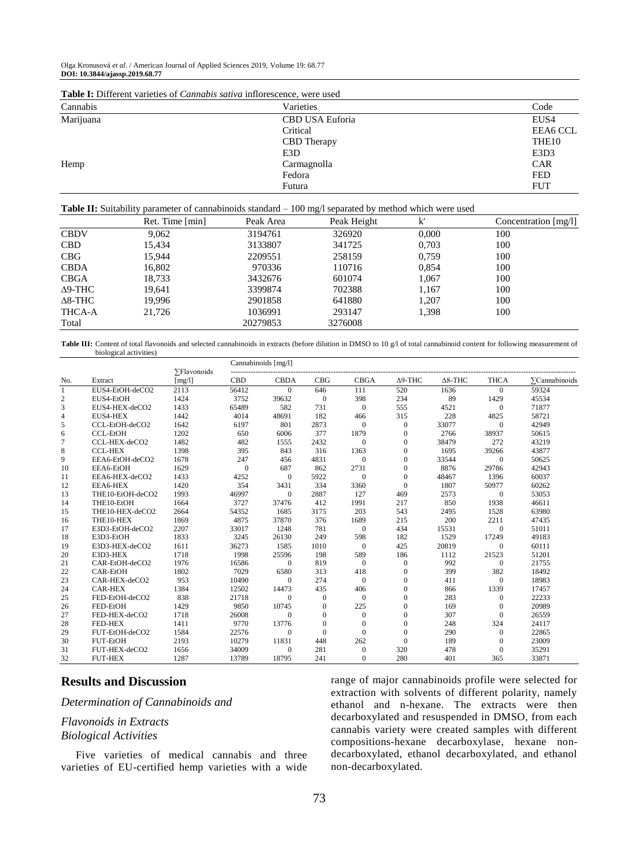Olga Kronusová *et al*. / American Journal of Applied Sciences 2019, Volume 19: 68.77 **DOI: 10.3844/ajassp.2019.68.77**

| <b>Table 1.</b> Different varieties of Cannabis saliva inflorescence, were used |                 |                   |  |  |  |  |  |
|---------------------------------------------------------------------------------|-----------------|-------------------|--|--|--|--|--|
| Cannabis                                                                        | Varieties       | Code              |  |  |  |  |  |
| Marijuana                                                                       | CBD USA Euforia | EUS <sub>4</sub>  |  |  |  |  |  |
|                                                                                 | Critical        | EEA6 CCL          |  |  |  |  |  |
|                                                                                 | CBD Therapy     | THE <sub>10</sub> |  |  |  |  |  |
|                                                                                 | E3D             | E3D3              |  |  |  |  |  |
| Hemp                                                                            | Carmagnolla     | <b>CAR</b>        |  |  |  |  |  |
|                                                                                 | Fedora          | <b>FED</b>        |  |  |  |  |  |
|                                                                                 | Futura          | <b>FUT</b>        |  |  |  |  |  |

**Table I:** Different varieties of *Cannabis sativa* inflorescence, were used

**Table II:** Suitability parameter of cannabinoids standard – 100 mg/l separated by method which were used

|                | Ret. Time [min] | Peak Area | Peak Height | k'<br>A | Concentration $[mg/l]$ |
|----------------|-----------------|-----------|-------------|---------|------------------------|
| <b>CBDV</b>    | 9,062           | 3194761   | 326920      | 0,000   | 100                    |
| <b>CBD</b>     | 15,434          | 3133807   | 341725      | 0,703   | 100                    |
| <b>CBG</b>     | 15,944          | 2209551   | 258159      | 0,759   | 100                    |
| <b>CBDA</b>    | 16,802          | 970336    | 110716      | 0,854   | 100                    |
| <b>CBGA</b>    | 18,733          | 3432676   | 601074      | 1,067   | 100                    |
| $\Delta$ 9-THC | 19,641          | 3399874   | 702388      | 1.167   | 100                    |
| $\Delta$ 8-THC | 19.996          | 2901858   | 641880      | 1,207   | 100                    |
| THCA-A         | 21.726          | 1036991   | 293147      | 1.398   | 100                    |
| Total          |                 | 20279853  | 3276008     |         |                        |

Table III: Content of total flavonoids and selected cannabinoids in extracts (before dilution in DMSO to 10 g/l of total cannabinoid content for following measurement of biological activities) Cannabinoids [mg/l]

|                         |                  | <b>Y</b> Flavonoids | Cannaomoras [mg/1] |              |              |              |                |                |                |                       |
|-------------------------|------------------|---------------------|--------------------|--------------|--------------|--------------|----------------|----------------|----------------|-----------------------|
| No.                     | Extract          | [mg/l]              | <b>CBD</b>         | <b>CBDA</b>  | CBG          | <b>CBGA</b>  | $\Delta$ 9-THC | $\Delta$ 8-THC | <b>THCA</b>    | <b>Y</b> Cannabinoids |
| 1                       | EUS4-EtOH-deCO2  | 2113                | 56412              | $\Omega$     | 646          | 111          | 520            | 1636           | $\theta$       | 59324                 |
| $\overline{\mathbf{c}}$ | EUS4-EtOH        | 1424                | 3752               | 39632        | $\Omega$     | 398          | 234            | 89             | 1429           | 45534                 |
| 3                       | EUS4-HEX-deCO2   | 1433                | 65489              | 582          | 731          | $\mathbf{0}$ | 555            | 4521           | $\Omega$       | 71877                 |
| $\overline{4}$          | EUS4-HEX         | 1442                | 4014               | 48691        | 182          | 466          | 315            | 228            | 4825           | 58721                 |
| 5                       | CCL-EtOH-deCO2   | 1642                | 6197               | 801          | 2873         | $\Omega$     | $\Omega$       | 33077          | $\theta$       | 42949                 |
| 6                       | <b>CCL-EtOH</b>  | 1202                | 650                | 6006         | 377          | 1879         | $\Omega$       | 2766           | 38937          | 50615                 |
| 7                       | CCL-HEX-deCO2    | 1482                | 482                | 1555         | 2432         | $\Omega$     | $\Omega$       | 38479          | 272            | 43219                 |
| 8                       | <b>CCL-HEX</b>   | 1398                | 395                | 843          | 316          | 1363         | $\Omega$       | 1695           | 39266          | 43877                 |
| 9                       | EEA6-EtOH-deCO2  | 1678                | 247                | 456          | 4831         | $\mathbf{0}$ | $\mathbf{0}$   | 33544          | $\overline{0}$ | 50625                 |
| 10                      | EEA6-EtOH        | 1629                | $\Omega$           | 687          | 862          | 2731         | $\Omega$       | 8876           | 29786          | 42943                 |
| 11                      | EEA6-HEX-deCO2   | 1433                | 4252               | $\Omega$     | 5922         | $\Omega$     | $\Omega$       | 48467          | 1396           | 60037                 |
| 12                      | EEA6-HEX         | 1420                | 354                | 3431         | 334          | 3360         | $\Omega$       | 1807           | 50977          | 60262                 |
| 13                      | THE10-EtOH-deCO2 | 1993                | 46997              | $\Omega$     | 2887         | 127          | 469            | 2573           | $\mathbf{0}$   | 53053                 |
| 14                      | THE10-EtOH       | 1664                | 3727               | 37476        | 412          | 1991         | 217            | 850            | 1938           | 46611                 |
| 15                      | THE10-HEX-deCO2  | 2664                | 54352              | 1685         | 3175         | 203          | 543            | 2495           | 1528           | 63980                 |
| 16                      | THE10-HEX        | 1869                | 4875               | 37870        | 376          | 1689         | 215            | 200            | 2211           | 47435                 |
| 17                      | E3D3-EtOH-deCO2  | 2207                | 33017              | 1248         | 781          | $\mathbf{0}$ | 434            | 15531          | $\Omega$       | 51011                 |
| 18                      | E3D3-EtOH        | 1833                | 3245               | 26130        | 249          | 598          | 182            | 1529           | 17249          | 49183                 |
| 19                      | E3D3-HEX-deCO2   | 1611                | 36273              | 1585         | 1010         | $\mathbf{0}$ | 425            | 20819          | $\theta$       | 60111                 |
| 20                      | E3D3-HEX         | 1718                | 1998               | 25596        | 198          | 589          | 186            | 1112           | 21523          | 51201                 |
| 21                      | CAR-EtOH-deCO2   | 1976                | 16586              | $\Omega$     | 819          | $\Omega$     | $\mathbf{0}$   | 992            | $\overline{0}$ | 21755                 |
| 22                      | CAR-EtOH         | 1802                | 7029               | 6580         | 313          | 418          | $\mathbf{0}$   | 399            | 382            | 18492                 |
| 23                      | CAR-HEX-deCO2    | 953                 | 10490              | $\Omega$     | 274          | $\mathbf{0}$ | $\mathbf{0}$   | 411            | $\overline{0}$ | 18983                 |
| 24                      | <b>CAR-HEX</b>   | 1384                | 12502              | 14473        | 435          | 406          | $\Omega$       | 866            | 1339           | 17457                 |
| 25                      | FED-EtOH-deCO2   | 838                 | 21718              | $\Omega$     | $\Omega$     | $\Omega$     | $\Omega$       | 283            | 0              | 22233                 |
| 26                      | FED-EtOH         | 1429                | 9850               | 10745        | $\mathbf{0}$ | 225          | $\mathbf{0}$   | 169            | $\theta$       | 20989                 |
| 27                      | FED-HEX-deCO2    | 1718                | 26008              | $\Omega$     | $\Omega$     | $\mathbf{0}$ | $\Omega$       | 307            | $\theta$       | 26559                 |
| 28                      | <b>FED-HEX</b>   | 1411                | 9770               | 13776        | $\mathbf{0}$ | $\mathbf{0}$ | $\mathbf{0}$   | 248            | 324            | 24117                 |
| 29                      | FUT-EtOH-deCO2   | 1584                | 22576              | $\mathbf{0}$ | $\Omega$     | $\Omega$     | $\overline{0}$ | 290            | $\theta$       | 22865                 |
| 30                      | FUT-EtOH         | 2193                | 10279              | 11831        | 448          | 262          | $\Omega$       | 189            | $\Omega$       | 23009                 |
| 31                      | FUT-HEX-deCO2    | 1656                | 34009              | $\Omega$     | 281          | $\Omega$     | 320            | 478            | $\theta$       | 35291                 |
| 32                      | <b>FUT-HEX</b>   | 1287                | 13789              | 18795        | 241          | $\Omega$     | 280            | 401            | 365            | 33871                 |

# **Results and Discussion**

### *Determination of Cannabinoids and*

#### *Flavonoids in Extracts Biological Activities*

Five varieties of medical cannabis and three varieties of EU-certified hemp varieties with a wide range of major cannabinoids profile were selected for extraction with solvents of different polarity, namely ethanol and n-hexane. The extracts were then decarboxylated and resuspended in DMSO, from each cannabis variety were created samples with different compositions-hexane decarboxylase, hexane nondecarboxylated, ethanol decarboxylated, and ethanol non-decarboxylated.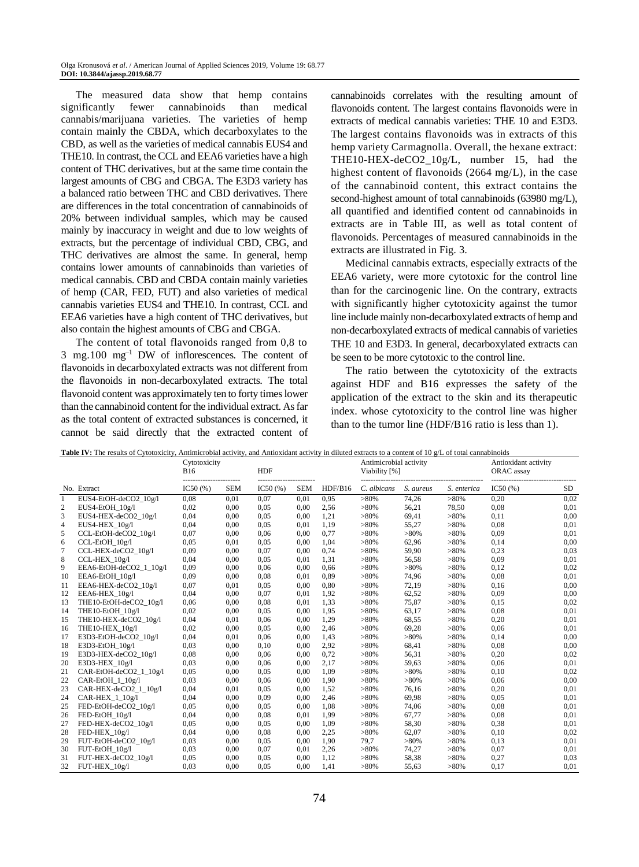The measured data show that hemp contains significantly fewer cannabinoids than medical cannabis/marijuana varieties. The varieties of hemp contain mainly the CBDA, which decarboxylates to the CBD, as well as the varieties of medical cannabis EUS4 and THE10. In contrast, the CCL and EEA6 varieties have a high content of THC derivatives, but at the same time contain the largest amounts of CBG and CBGA. The E3D3 variety has a balanced ratio between THC and CBD derivatives. There are differences in the total concentration of cannabinoids of 20% between individual samples, which may be caused mainly by inaccuracy in weight and due to low weights of extracts, but the percentage of individual CBD, CBG, and THC derivatives are almost the same. In general, hemp contains lower amounts of cannabinoids than varieties of medical cannabis. CBD and CBDA contain mainly varieties of hemp (CAR, FED, FUT) and also varieties of medical cannabis varieties EUS4 and THE10. In contrast, CCL and EEA6 varieties have a high content of THC derivatives, but also contain the highest amounts of CBG and CBGA.

The content of total flavonoids ranged from 0,8 to 3 mg.100 mg–1 DW of inflorescences. The content of flavonoids in decarboxylated extracts was not different from the flavonoids in non-decarboxylated extracts. The total flavonoid content was approximately ten to forty times lower than the cannabinoid content for the individual extract. As far as the total content of extracted substances is concerned, it cannot be said directly that the extracted content of cannabinoids correlates with the resulting amount of flavonoids content. The largest contains flavonoids were in extracts of medical cannabis varieties: THE 10 and E3D3. The largest contains flavonoids was in extracts of this hemp variety Carmagnolla. Overall, the hexane extract: THE10-HEX-deCO2\_10g/L, number 15, had the highest content of flavonoids (2664 mg/L), in the case of the cannabinoid content, this extract contains the second-highest amount of total cannabinoids (63980 mg/L), all quantified and identified content od cannabinoids in extracts are in Table III, as well as total content of flavonoids. Percentages of measured cannabinoids in the extracts are illustrated in Fig. 3.

Medicinal cannabis extracts, especially extracts of the EEA6 variety, were more cytotoxic for the control line than for the carcinogenic line. On the contrary, extracts with significantly higher cytotoxicity against the tumor line include mainly non-decarboxylated extracts of hemp and non-decarboxylated extracts of medical cannabis of varieties THE 10 and E3D3. In general, decarboxylated extracts can be seen to be more cytotoxic to the control line.

The ratio between the cytotoxicity of the extracts against HDF and B16 expresses the safety of the application of the extract to the skin and its therapeutic index. whose cytotoxicity to the control line was higher than to the tumor line (HDF/B16 ratio is less than 1).

|                         |                          | Cytotoxicity<br><b>B16</b> |            | <b>HDF</b> |            |         | Antimicrobial activity<br>Viability [%] |           |             | Antioxidant activity<br>ORAC assay<br> |      |
|-------------------------|--------------------------|----------------------------|------------|------------|------------|---------|-----------------------------------------|-----------|-------------|----------------------------------------|------|
|                         | No. Extract              | IC50(%)                    | <b>SEM</b> | IC50(% )   | <b>SEM</b> | HDF/B16 | C. albicans                             | S. aureus | S. enterica | IC50(%)                                | SD.  |
| 1                       | EUS4-EtOH-deCO2 10g/l    | 0,08                       | 0,01       | 0,07       | 0,01       | 0,95    | $>80\%$                                 | 74,26     | $>80\%$     | 0,20                                   | 0,02 |
| $\overline{\mathbf{c}}$ | EUS4-EtOH 10g/l          | 0.02                       | 0.00       | 0.05       | 0.00       | 2,56    | $>80\%$                                 | 56,21     | 78,50       | 0.08                                   | 0.01 |
| 3                       | EUS4-HEX-deCO2 10g/l     | 0,04                       | 0,00       | 0,05       | 0,00       | 1,21    | $>80\%$                                 | 69,41     | $>80\%$     | 0,11                                   | 0,00 |
| 4                       | EUS4-HEX_10g/l           | 0.04                       | 0.00       | 0.05       | 0,01       | 1.19    | $>80\%$                                 | 55,27     | $>80\%$     | 0.08                                   | 0.01 |
| 5                       | CCL-EtOH-deCO2 10g/l     | 0,07                       | 0,00       | 0,06       | 0,00       | 0,77    | $>80\%$                                 | $>80\%$   | $>80\%$     | 0,09                                   | 0,01 |
| 6                       | CCL-EtOH_10g/l           | 0.05                       | 0,01       | 0,05       | 0,00       | 1,04    | $>80\%$                                 | 62,96     | $>80\%$     | 0.14                                   | 0,00 |
| 7                       | CCL-HEX-deCO2 10g/l      | 0,09                       | 0,00       | 0,07       | 0,00       | 0,74    | $>80\%$                                 | 59,90     | $>80\%$     | 0,23                                   | 0.03 |
| 8                       | CCL-HEX 10g/l            | 0.04                       | 0.00       | 0.05       | 0.01       | 1,31    | $>80\%$                                 | 56,58     | $>80\%$     | 0.09                                   | 0,01 |
| 9                       | EEA6-EtOH-deCO2_1_10g/l  | 0,09                       | 0,00       | 0,06       | 0,00       | 0,66    | $>80\%$                                 | $>80\%$   | $>80\%$     | 0,12                                   | 0,02 |
| 10                      | EEA6-EtOH 10g/l          | 0,09                       | 0,00       | 0,08       | 0.01       | 0,89    | $>80\%$                                 | 74,96     | $>80\%$     | 0,08                                   | 0,01 |
| 11                      | EEA6-HEX-deCO2 10g/l     | 0,07                       | 0,01       | 0,05       | 0,00       | 0,80    | $>80\%$                                 | 72,19     | $>80\%$     | 0,16                                   | 0,00 |
| 12                      | EEA6-HEX 10g/l           | 0.04                       | 0.00       | 0.07       | 0.01       | 1.92    | $>80\%$                                 | 62,52     | $>80\%$     | 0.09                                   | 0.00 |
| 13                      | THE10-EtOH-deCO2 10g/l   | 0,06                       | 0,00       | 0,08       | 0,01       | 1,33    | $>80\%$                                 | 75,87     | $>80\%$     | 0,15                                   | 0,02 |
| 14                      | THE10-EtOH_10g/l         | 0.02                       | 0.00       | 0.05       | 0.00       | 1.95    | $>80\%$                                 | 63.17     | $>80\%$     | 0.08                                   | 0,01 |
| 15                      | THE10-HEX-deCO2 10g/l    | 0,04                       | 0,01       | 0,06       | 0,00       | 1,29    | $>80\%$                                 | 68,55     | $>80\%$     | 0,20                                   | 0,01 |
| 16                      | THE10-HEX 10g/1          | 0,02                       | 0,00       | 0,05       | 0,00       | 2,46    | $>80\%$                                 | 69,28     | $>80\%$     | 0,06                                   | 0,01 |
| 17                      | E3D3-EtOH-deCO2 10g/l    | 0,04                       | 0,01       | 0,06       | 0,00       | 1,43    | $>80\%$                                 | $>80\%$   | $>80\%$     | 0,14                                   | 0,00 |
| 18                      | E3D3-EtOH $10g/l$        | 0,03                       | 0,00       | 0,10       | 0,00       | 2,92    | $>80\%$                                 | 68,41     | $>80\%$     | 0,08                                   | 0,00 |
| 19                      | E3D3-HEX-deCO2_10g/l     | 0.08                       | 0,00       | 0,06       | 0,00       | 0,72    | $>80\%$                                 | 56,31     | $>80\%$     | 0,20                                   | 0,02 |
| 20                      | E3D3-HEX_10g/l           | 0,03                       | 0,00       | 0,06       | 0,00       | 2,17    | $>80\%$                                 | 59,63     | $>80\%$     | 0,06                                   | 0,01 |
| 21                      | $CAR-EtoH-deCO2_1_10g/1$ | 0.05                       | 0,00       | 0,05       | 0,00       | 1,09    | $>80\%$                                 | $>80\%$   | $>80\%$     | 0,10                                   | 0,02 |
| 22                      | CAR-EtOH_1_10g/l         | 0,03                       | 0,00       | 0,06       | 0,00       | 1,90    | $>80\%$                                 | $>80\%$   | $>80\%$     | 0,06                                   | 0,00 |
| 23                      | CAR-HEX-deCO2_1_10g/l    | 0,04                       | 0,01       | 0,05       | 0,00       | 1,52    | $>80\%$                                 | 76,16     | $>80\%$     | 0,20                                   | 0,01 |
| 24                      | CAR-HEX_1_10g/l          | 0,04                       | 0,00       | 0,09       | 0,00       | 2,46    | $>80\%$                                 | 69,98     | $>80\%$     | 0,05                                   | 0,01 |
| 25                      | FED-EtOH-deCO2 10g/l     | 0,05                       | 0,00       | 0,05       | 0,00       | 1,08    | $>80\%$                                 | 74,06     | $>80\%$     | 0,08                                   | 0,01 |
| 26                      | FED-EtOH 10g/l           | 0,04                       | 0,00       | 0,08       | 0,01       | 1,99    | $>80\%$                                 | 67,77     | $>80\%$     | 0,08                                   | 0,01 |
| 27                      | FED-HEX-deCO2_10g/l      | 0,05                       | 0,00       | 0,05       | 0,00       | 1,09    | $>80\%$                                 | 58,30     | $>80\%$     | 0,38                                   | 0,01 |
| 28                      | FED-HEX 10g/l            | 0,04                       | 0,00       | 0,08       | 0,00       | 2,25    | $>80\%$                                 | 62,07     | $>80\%$     | 0,10                                   | 0,02 |
| 29                      | FUT-EtOH-deCO2 10g/l     | 0,03                       | 0,00       | 0,05       | 0,00       | 1,90    | 79,7                                    | $>80\%$   | $>80\%$     | 0,13                                   | 0,01 |
| 30                      | FUT-EtOH_10g/l           | 0,03                       | 0,00       | 0,07       | 0,01       | 2,26    | $>80\%$                                 | 74,27     | $>80\%$     | 0,07                                   | 0,01 |
| 31                      | FUT-HEX-deCO2 10g/l      | 0,05                       | 0,00       | 0,05       | 0.00       | 1,12    | $>80\%$                                 | 58,38     | $>80\%$     | 0,27                                   | 0.03 |
| 32                      | FUT-HEX 10g/l            | 0.03                       | 0.00       | 0.05       | 0.00       | 1.41    | $>80\%$                                 | 55.63     | $>80\%$     | 0.17                                   | 0.01 |

Table IV: The results of Cytotoxicity, Antimicrobial activity, and Antioxidant activity in diluted extracts to a content of 10 g/L of total cannabinoids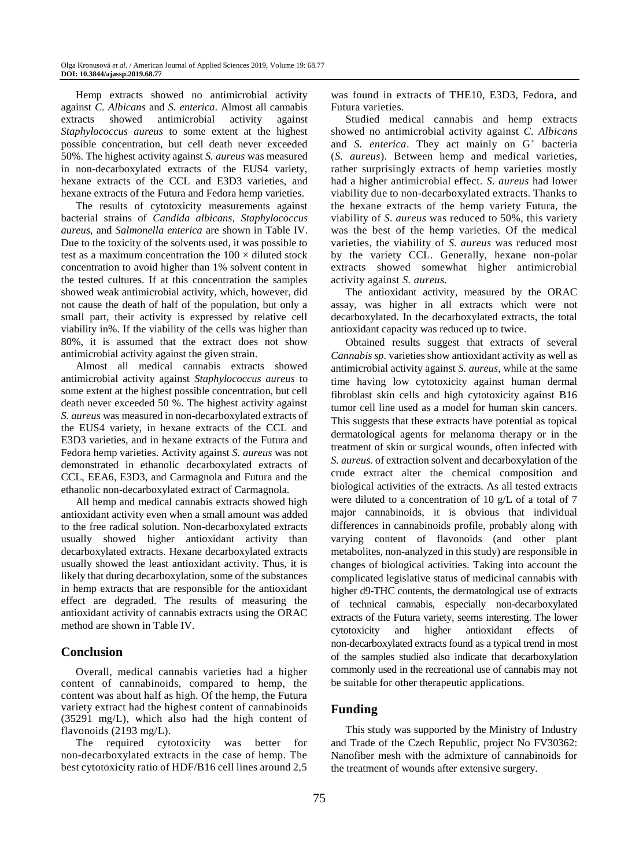Hemp extracts showed no antimicrobial activity against *C. Albicans* and *S. enterica*. Almost all cannabis extracts showed antimicrobial activity against *Staphylococcus aureus* to some extent at the highest possible concentration, but cell death never exceeded 50%. The highest activity against *S. aureus* was measured in non-decarboxylated extracts of the EUS4 variety, hexane extracts of the CCL and E3D3 varieties, and hexane extracts of the Futura and Fedora hemp varieties.

The results of cytotoxicity measurements against bacterial strains of *Candida albicans*, *Staphylococcus aureus*, and *Salmonella enterica* are shown in Table IV. Due to the toxicity of the solvents used, it was possible to test as a maximum concentration the  $100 \times$  diluted stock concentration to avoid higher than 1% solvent content in the tested cultures. If at this concentration the samples showed weak antimicrobial activity, which, however, did not cause the death of half of the population, but only a small part, their activity is expressed by relative cell viability in%. If the viability of the cells was higher than 80%, it is assumed that the extract does not show antimicrobial activity against the given strain.

Almost all medical cannabis extracts showed antimicrobial activity against *Staphylococcus aureus* to some extent at the highest possible concentration, but cell death never exceeded 50 %. The highest activity against *S. aureus* was measured in non-decarboxylated extracts of the EUS4 variety, in hexane extracts of the CCL and E3D3 varieties, and in hexane extracts of the Futura and Fedora hemp varieties. Activity against *S. aureus* was not demonstrated in ethanolic decarboxylated extracts of CCL, EEA6, E3D3, and Carmagnola and Futura and the ethanolic non-decarboxylated extract of Carmagnola.

All hemp and medical cannabis extracts showed high antioxidant activity even when a small amount was added to the free radical solution. Non-decarboxylated extracts usually showed higher antioxidant activity than decarboxylated extracts. Hexane decarboxylated extracts usually showed the least antioxidant activity. Thus, it is likely that during decarboxylation, some of the substances in hemp extracts that are responsible for the antioxidant effect are degraded. The results of measuring the antioxidant activity of cannabis extracts using the ORAC method are shown in Table IV.

## **Conclusion**

Overall, medical cannabis varieties had a higher content of cannabinoids, compared to hemp, the content was about half as high. Of the hemp, the Futura variety extract had the highest content of cannabinoids (35291 mg/L), which also had the high content of flavonoids (2193 mg/L).

The required cytotoxicity was better for non-decarboxylated extracts in the case of hemp. The best cytotoxicity ratio of HDF/B16 cell lines around 2,5

was found in extracts of THE10, E3D3, Fedora, and Futura varieties.

Studied medical cannabis and hemp extracts showed no antimicrobial activity against *C. Albicans* and *S. enterica*. They act mainly on G<sup>+</sup> bacteria (*S. aureus*). Between hemp and medical varieties, rather surprisingly extracts of hemp varieties mostly had a higher antimicrobial effect. *S. aureus* had lower viability due to non-decarboxylated extracts. Thanks to the hexane extracts of the hemp variety Futura, the viability of *S. aureus* was reduced to 50%, this variety was the best of the hemp varieties. Of the medical varieties, the viability of *S. aureus* was reduced most by the variety CCL. Generally, hexane non-polar extracts showed somewhat higher antimicrobial activity against *S. aureus.*

The antioxidant activity, measured by the ORAC assay, was higher in all extracts which were not decarboxylated. In the decarboxylated extracts, the total antioxidant capacity was reduced up to twice.

Obtained results suggest that extracts of several *Cannabis sp.* varieties show antioxidant activity as well as antimicrobial activity against *S. aureus,* while at the same time having low cytotoxicity against human dermal fibroblast skin cells and high cytotoxicity against B16 tumor cell line used as a model for human skin cancers. This suggests that these extracts have potential as topical dermatological agents for melanoma therapy or in the treatment of skin or surgical wounds, often infected with *S. aureus.* of extraction solvent and decarboxylation of the crude extract alter the chemical composition and biological activities of the extracts. As all tested extracts were diluted to a concentration of 10 g/L of a total of 7 major cannabinoids, it is obvious that individual differences in cannabinoids profile, probably along with varying content of flavonoids (and other plant metabolites, non-analyzed in this study) are responsible in changes of biological activities. Taking into account the complicated legislative status of medicinal cannabis with higher d9-THC contents, the dermatological use of extracts of technical cannabis, especially non-decarboxylated extracts of the Futura variety, seems interesting. The lower cytotoxicity and higher antioxidant effects of non-decarboxylated extracts found as a typical trend in most of the samples studied also indicate that decarboxylation commonly used in the recreational use of cannabis may not be suitable for other therapeutic applications.

# **Funding**

This study was supported by the Ministry of Industry and Trade of the Czech Republic, project No FV30362: Nanofiber mesh with the admixture of cannabinoids for the treatment of wounds after extensive surgery.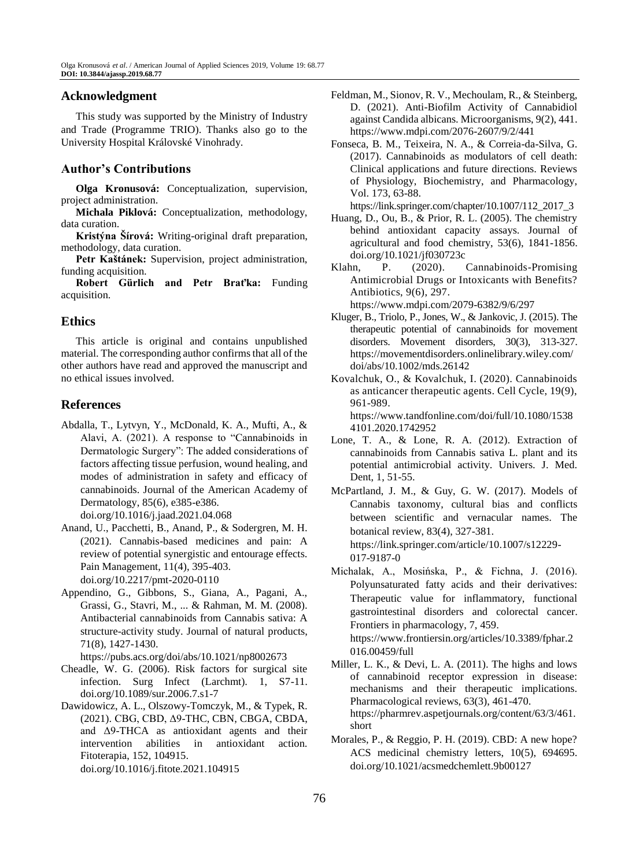#### **Acknowledgment**

This study was supported by the Ministry of Industry and Trade (Programme TRIO). Thanks also go to the University Hospital Královské Vinohrady.

## **Author's Contributions**

**Olga Kronusová:** Conceptualization, supervision, project administration.

**Michala Piklová:** Conceptualization, methodology, data curation.

**Kristýna Šírová:** Writing-original draft preparation, methodology, data curation.

**Petr Kaštánek:** Supervision, project administration, funding acquisition.

**Robert Gürlich and Petr Braťka:** Funding acquisition.

## **Ethics**

This article is original and contains unpublished material. The corresponding author confirms that all of the other authors have read and approved the manuscript and no ethical issues involved.

#### **References**

Abdalla, T., Lytvyn, Y., McDonald, K. A., Mufti, A., & Alavi, A. (2021). A response to "Cannabinoids in Dermatologic Surgery": The added considerations of factors affecting tissue perfusion, wound healing, and modes of administration in safety and efficacy of cannabinoids. Journal of the American Academy of Dermatology, 85(6), e385-e386.

doi.org/10.1016/j.jaad.2021.04.068

- Anand, U., Pacchetti, B., Anand, P., & Sodergren, M. H. (2021). Cannabis-based medicines and pain: A review of potential synergistic and entourage effects. Pain Management, 11(4), 395-403. doi.org/10.2217/pmt-2020-0110
- Appendino, G., Gibbons, S., Giana, A., Pagani, A., Grassi, G., Stavri, M., ... & Rahman, M. M. (2008). Antibacterial cannabinoids from Cannabis sativa: A structure-activity study. Journal of natural products, 71(8), 1427-1430.

https://pubs.acs.org/doi/abs/10.1021/np8002673

- Cheadle, W. G. (2006). Risk factors for surgical site infection. Surg Infect (Larchmt). 1, S7-11. doi.org/10.1089/sur.2006.7.s1-7
- Dawidowicz, A. L., Olszowy-Tomczyk, M., & Typek, R. (2021). CBG, CBD, Δ9-THC, CBN, CBGA, CBDA, and Δ9-THCA as antioxidant agents and their intervention abilities in antioxidant action. Fitoterapia, 152, 104915. doi.org/10.1016/j.fitote.2021.104915
- Feldman, M., Sionov, R. V., Mechoulam, R., & Steinberg, D. (2021). Anti-Biofilm Activity of Cannabidiol against Candida albicans. Microorganisms, 9(2), 441. https://www.mdpi.com/2076-2607/9/2/441
- Fonseca, B. M., Teixeira, N. A., & Correia-da-Silva, G. (2017). Cannabinoids as modulators of cell death: Clinical applications and future directions. Reviews of Physiology, Biochemistry, and Pharmacology, Vol. 173, 63-88.

https://link.springer.com/chapter/10.1007/112\_2017\_3

Huang, D., Ou, B., & Prior, R. L. (2005). The chemistry behind antioxidant capacity assays. Journal of agricultural and food chemistry, 53(6), 1841-1856. doi.org/10.1021/jf030723c

Klahn, P. (2020). Cannabinoids-Promising Antimicrobial Drugs or Intoxicants with Benefits? Antibiotics, 9(6), 297.

https://www.mdpi.com/2079-6382/9/6/297

- Kluger, B., Triolo, P., Jones, W., & Jankovic, J. (2015). The therapeutic potential of cannabinoids for movement disorders. Movement disorders, 30(3), 313-327. https://movementdisorders.onlinelibrary.wiley.com/ doi/abs/10.1002/mds.26142
- Kovalchuk, O., & Kovalchuk, I. (2020). Cannabinoids as anticancer therapeutic agents. Cell Cycle, 19(9), 961-989. https://www.tandfonline.com/doi/full/10.1080/1538 4101.2020.1742952
- Lone, T. A., & Lone, R. A. (2012). Extraction of cannabinoids from Cannabis sativa L. plant and its potential antimicrobial activity. Univers. J. Med. Dent, 1, 51-55.
- McPartland, J. M., & Guy, G. W. (2017). Models of Cannabis taxonomy, cultural bias and conflicts between scientific and vernacular names. The botanical review, 83(4), 327-381. https://link.springer.com/article/10.1007/s12229- 017-9187-0
- Michalak, A., Mosińska, P., & Fichna, J. (2016). Polyunsaturated fatty acids and their derivatives: Therapeutic value for inflammatory, functional gastrointestinal disorders and colorectal cancer. Frontiers in pharmacology, 7, 459. https://www.frontiersin.org/articles/10.3389/fphar.2 016.00459/full
- Miller, L. K., & Devi, L. A. (2011). The highs and lows of cannabinoid receptor expression in disease: mechanisms and their therapeutic implications. Pharmacological reviews, 63(3), 461-470. https://pharmrev.aspetjournals.org/content/63/3/461. short
- Morales, P., & Reggio, P. H. (2019). CBD: A new hope? ACS medicinal chemistry letters, 10(5), 694695. doi.org/10.1021/acsmedchemlett.9b00127